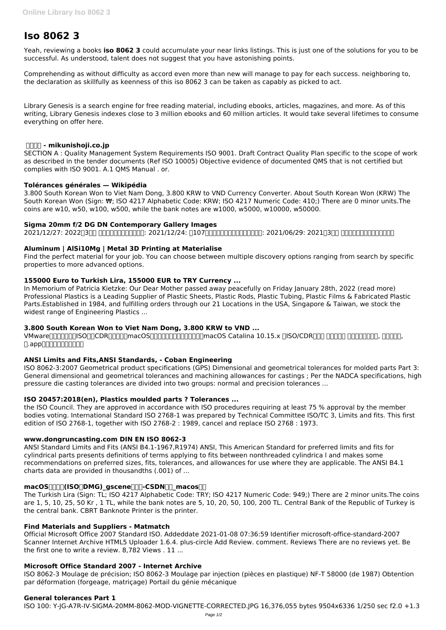# **Iso 8062 3**

Yeah, reviewing a books **iso 8062 3** could accumulate your near links listings. This is just one of the solutions for you to be successful. As understood, talent does not suggest that you have astonishing points.

Comprehending as without difficulty as accord even more than new will manage to pay for each success. neighboring to, the declaration as skillfully as keenness of this iso 8062 3 can be taken as capably as picked to act.

Library Genesis is a search engine for free reading material, including ebooks, articles, magazines, and more. As of this writing, Library Genesis indexes close to 3 million ebooks and 60 million articles. It would take several lifetimes to consume everything on offer here.

# **三国商事 - mikunishoji.co.jp**

SECTION A : Quality Management System Requirements ISO 9001. Draft Contract Quality Plan specific to the scope of work as described in the tender documents (Ref ISO 10005) Objective evidence of documented QMS that is not certified but complies with ISO 9001. A.1 QMS Manual . or.

# **Tolérances générales — Wikipédia**

3.800 South Korean Won to Viet Nam Dong, 3.800 KRW to VND Currency Converter. About South Korean Won (KRW) The South Korean Won (Sign: ₩; ISO 4217 Alphabetic Code: KRW; ISO 4217 Numeric Code: 410;) There are 0 minor units.The coins are w10, w50, w100, w500, while the bank notes are w1000, w5000, w10000, w50000.

# **Sigma 20mm f/2 DG DN Contemporary Gallery Images**

2021/12/27: 2022@300 00000000000: 2021/12/24: 20700000000000000: 2021/06/29: 2021@300 0000000000000

# **Aluminum | AlSi10Mg | Metal 3D Printing at Materialise**

Find the perfect material for your job. You can choose between multiple discovery options ranging from search by specific properties to more advanced options.

# **155000 Euro to Turkish Lira, 155000 EUR to TRY Currency ...**

In Memorium of Patricia Kietzke: Our Dear Mother passed away peacefully on Friday January 28th, 2022 (read more) Professional Plastics is a Leading Supplier of Plastic Sheets, Plastic Rods, Plastic Tubing, Plastic Films & Fabricated Plastic Parts.Established in 1984, and fulfilling orders through our 21 Locations in the USA, Singapore & Taiwan, we stock the widest range of Engineering Plastics ...

# **3.800 South Korean Won to Viet Nam Dong, 3.800 KRW to VND ...**

VMwarennengua SONCDRENDE macOS SUPERENDEN ENGLARGE Catalina 10.15.x 0 SO/CDR FOR FORENDENT, ENGLES,  $\Box$ .app $\Box$ 

# **ANSI Limits and Fits,ANSI Standards, - Coban Engineering**

ISO 8062-3:2007 Geometrical product specifications (GPS) Dimensional and geometrical tolerances for molded parts Part 3: General dimensional and geometrical tolerances and machining allowances for castings ; Per the NADCA specifications, high pressure die casting tolerances are divided into two groups: normal and precision tolerances ...

# **ISO 20457:2018(en), Plastics moulded parts ? Tolerances ...**

the ISO Council. They are approved in accordance with ISO procedures requiring at least 75 % approval by the member bodies voting. International Standard ISO 2768-1 was prepared by Technical Committee ISO/TC 3, Limits and fits. This first edition of ISO 2768-1, together with ISO 2768-2 : 1989, cancel and replace ISO 2768 : 1973.

# **www.dongruncasting.com DIN EN ISO 8062-3**

ANSI Standard Limits and Fits (ANSI B4.1-1967,R1974) ANSI, This American Standard for preferred limits and fits for cylindrical parts presents definitions of terms applying to fits between nonthreaded cylindrica l and makes some recommendations on preferred sizes, fits, tolerances, and allowances for use where they are applicable. The ANSI B4.1 charts data are provided in thousandths (.001) of ...

# **macOS** $\text{min}($ **ISO** $\text{DMG})$  gscene $\text{min}$ -CSDN $\text{min}$  macos $\text{min}$

The Turkish Lira (Sign: TL; ISO 4217 Alphabetic Code: TRY; ISO 4217 Numeric Code: 949;) There are 2 minor units.The coins are 1, 5, 10, 25, 50 Kr , 1 TL, while the bank notes are 5, 10, 20, 50, 100, 200 TL. Central Bank of the Republic of Turkey is the central bank. CBRT Banknote Printer is the printer.

#### **Find Materials and Suppliers - Matmatch**

Official Microsoft Office 2007 Standard ISO. Addeddate 2021-01-08 07:36:59 Identifier microsoft-office-standard-2007 Scanner Internet Archive HTML5 Uploader 1.6.4. plus-circle Add Review. comment. Reviews There are no reviews yet. Be the first one to write a review. 8,782 Views . 11 ...

#### **Microsoft Office Standard 2007 - Internet Archive**

ISO 8062-3 Moulage de précision; ISO 8062-3 Moulage par injection (pièces en plastique) NF-T 58000 (de 1987) Obtention par déformation (forgeage, matriçage) Portail du génie mécanique

#### **General tolerances Part 1**

ISO 100: Y-JG-A7R-IV-SIGMA-20MM-8062-MOD-VIGNETTE-CORRECTED.JPG 16,376,055 bytes 9504x6336 1/250 sec f2.0 +1.3